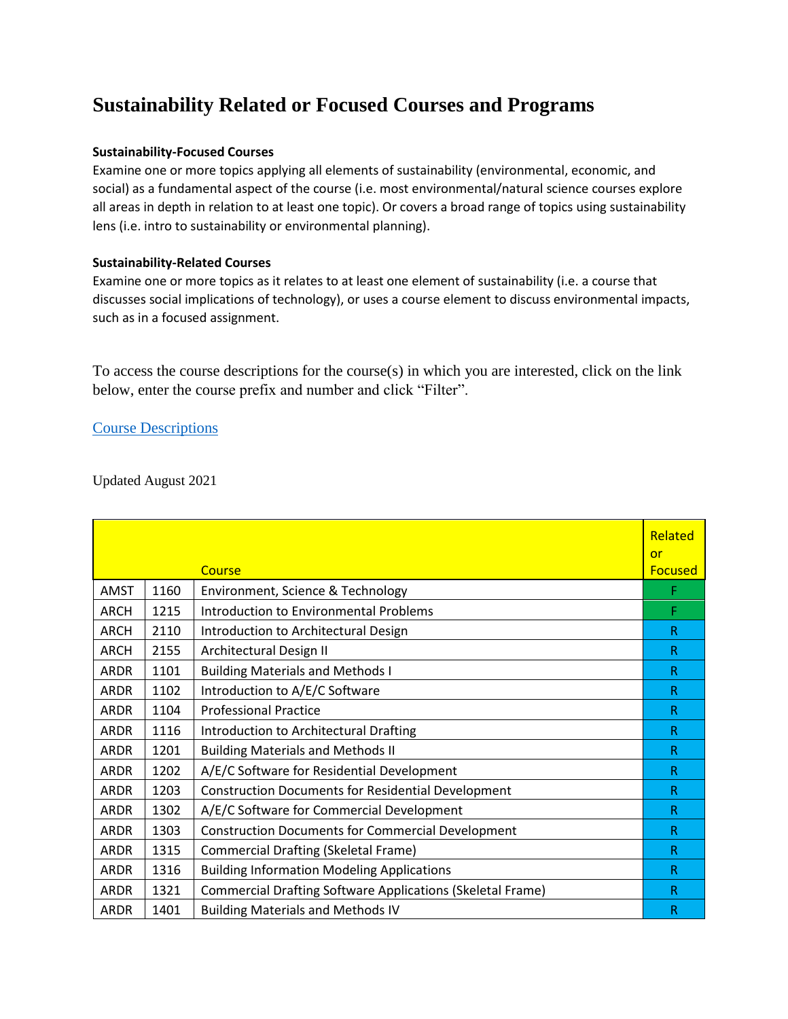## **Sustainability Related or Focused Courses and Programs**

## **Sustainability-Focused Courses**

Examine one or more topics applying all elements of sustainability (environmental, economic, and social) as a fundamental aspect of the course (i.e. most environmental/natural science courses explore all areas in depth in relation to at least one topic). Or covers a broad range of topics using sustainability lens (i.e. intro to sustainability or environmental planning).

## **Sustainability-Related Courses**

Examine one or more topics as it relates to at least one element of sustainability (i.e. a course that discusses social implications of technology), or uses a course element to discuss environmental impacts, such as in a focused assignment.

To access the course descriptions for the course(s) in which you are interested, click on the link below, enter the course prefix and number and click "Filter".

## [Course Descriptions](https://catalog.cnm.edu/content.php?catoid=48&navoid=7365)

Updated August 2021

|             |      |                                                                   | Related              |
|-------------|------|-------------------------------------------------------------------|----------------------|
|             |      | Course                                                            | or<br><b>Focused</b> |
| <b>AMST</b> | 1160 | Environment, Science & Technology                                 | F                    |
| <b>ARCH</b> | 1215 | <b>Introduction to Environmental Problems</b>                     | F                    |
| <b>ARCH</b> | 2110 | Introduction to Architectural Design                              | R                    |
| <b>ARCH</b> | 2155 | Architectural Design II                                           | R                    |
| <b>ARDR</b> | 1101 | <b>Building Materials and Methods I</b>                           | R                    |
| <b>ARDR</b> | 1102 | Introduction to A/E/C Software                                    | R.                   |
| <b>ARDR</b> | 1104 | <b>Professional Practice</b>                                      | R                    |
| <b>ARDR</b> | 1116 | Introduction to Architectural Drafting                            | R                    |
| <b>ARDR</b> | 1201 | <b>Building Materials and Methods II</b>                          | R.                   |
| <b>ARDR</b> | 1202 | A/E/C Software for Residential Development                        | R                    |
| <b>ARDR</b> | 1203 | <b>Construction Documents for Residential Development</b>         | R                    |
| <b>ARDR</b> | 1302 | A/E/C Software for Commercial Development                         | R.                   |
| <b>ARDR</b> | 1303 | <b>Construction Documents for Commercial Development</b>          | R                    |
| <b>ARDR</b> | 1315 | <b>Commercial Drafting (Skeletal Frame)</b>                       | R                    |
| <b>ARDR</b> | 1316 | <b>Building Information Modeling Applications</b>                 | R                    |
| <b>ARDR</b> | 1321 | <b>Commercial Drafting Software Applications (Skeletal Frame)</b> | R                    |
| <b>ARDR</b> | 1401 | <b>Building Materials and Methods IV</b>                          | R                    |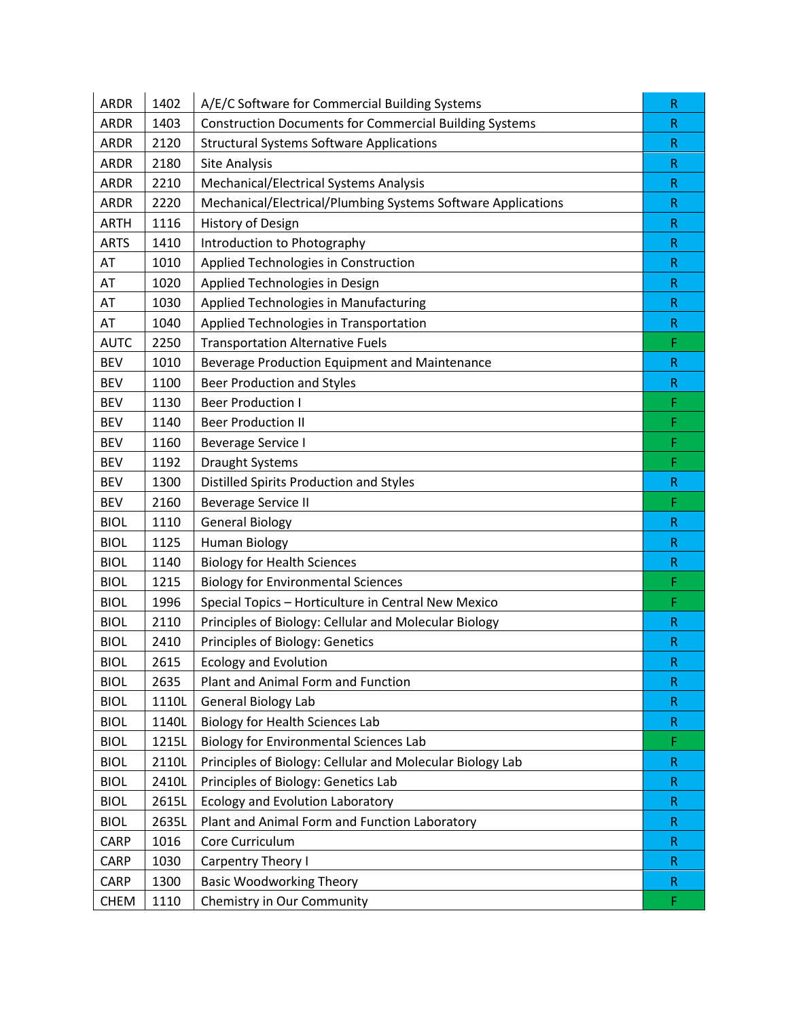| <b>ARDR</b> | 1402  | A/E/C Software for Commercial Building Systems                | R           |
|-------------|-------|---------------------------------------------------------------|-------------|
| <b>ARDR</b> | 1403  | <b>Construction Documents for Commercial Building Systems</b> | $\mathsf R$ |
| <b>ARDR</b> | 2120  | <b>Structural Systems Software Applications</b>               | $\mathsf R$ |
| <b>ARDR</b> | 2180  | <b>Site Analysis</b>                                          | R           |
| <b>ARDR</b> | 2210  | Mechanical/Electrical Systems Analysis                        | $\mathsf R$ |
| <b>ARDR</b> | 2220  | Mechanical/Electrical/Plumbing Systems Software Applications  | R           |
| <b>ARTH</b> | 1116  | History of Design                                             | $\mathsf R$ |
| <b>ARTS</b> | 1410  | Introduction to Photography                                   | R           |
| AT          | 1010  | Applied Technologies in Construction                          | $\mathsf R$ |
| AT          | 1020  | Applied Technologies in Design                                | $\mathsf R$ |
| AT          | 1030  | Applied Technologies in Manufacturing                         | R           |
| AT          | 1040  | Applied Technologies in Transportation                        | $\mathsf R$ |
| <b>AUTC</b> | 2250  | <b>Transportation Alternative Fuels</b>                       | F           |
| <b>BEV</b>  | 1010  | Beverage Production Equipment and Maintenance                 | $\mathsf R$ |
| <b>BEV</b>  | 1100  | <b>Beer Production and Styles</b>                             | $\mathsf R$ |
| <b>BEV</b>  | 1130  | <b>Beer Production I</b>                                      | F           |
| <b>BEV</b>  | 1140  | <b>Beer Production II</b>                                     | F           |
| <b>BEV</b>  | 1160  | <b>Beverage Service I</b>                                     | F           |
| <b>BEV</b>  | 1192  | <b>Draught Systems</b>                                        | F           |
| <b>BEV</b>  | 1300  | Distilled Spirits Production and Styles                       | ${\sf R}$   |
| <b>BEV</b>  | 2160  | <b>Beverage Service II</b>                                    | F           |
| <b>BIOL</b> | 1110  | <b>General Biology</b>                                        | $\mathsf R$ |
| <b>BIOL</b> | 1125  | <b>Human Biology</b>                                          | ${\sf R}$   |
| <b>BIOL</b> | 1140  | <b>Biology for Health Sciences</b>                            | $\mathsf R$ |
| <b>BIOL</b> | 1215  | <b>Biology for Environmental Sciences</b>                     | F           |
| <b>BIOL</b> | 1996  | Special Topics - Horticulture in Central New Mexico           | F           |
| <b>BIOL</b> | 2110  | Principles of Biology: Cellular and Molecular Biology         | $\mathsf R$ |
| <b>BIOL</b> | 2410  | Principles of Biology: Genetics                               | R           |
| <b>BIOL</b> | 2615  | <b>Ecology and Evolution</b>                                  | $\mathsf R$ |
| <b>BIOL</b> | 2635  | Plant and Animal Form and Function                            | R           |
| <b>BIOL</b> | 1110L | General Biology Lab                                           | $\mathsf R$ |
| <b>BIOL</b> | 1140L | <b>Biology for Health Sciences Lab</b>                        | R           |
| <b>BIOL</b> | 1215L | <b>Biology for Environmental Sciences Lab</b>                 | F           |
| <b>BIOL</b> | 2110L | Principles of Biology: Cellular and Molecular Biology Lab     | $\mathsf R$ |
| <b>BIOL</b> | 2410L | Principles of Biology: Genetics Lab                           | R           |
| <b>BIOL</b> | 2615L | Ecology and Evolution Laboratory                              | $\mathsf R$ |
| <b>BIOL</b> | 2635L | Plant and Animal Form and Function Laboratory                 | R           |
| CARP        | 1016  | Core Curriculum                                               | $\mathsf R$ |
| CARP        | 1030  | Carpentry Theory I                                            | $\mathsf R$ |
| <b>CARP</b> | 1300  | <b>Basic Woodworking Theory</b>                               | R           |
| <b>CHEM</b> | 1110  | Chemistry in Our Community                                    | F           |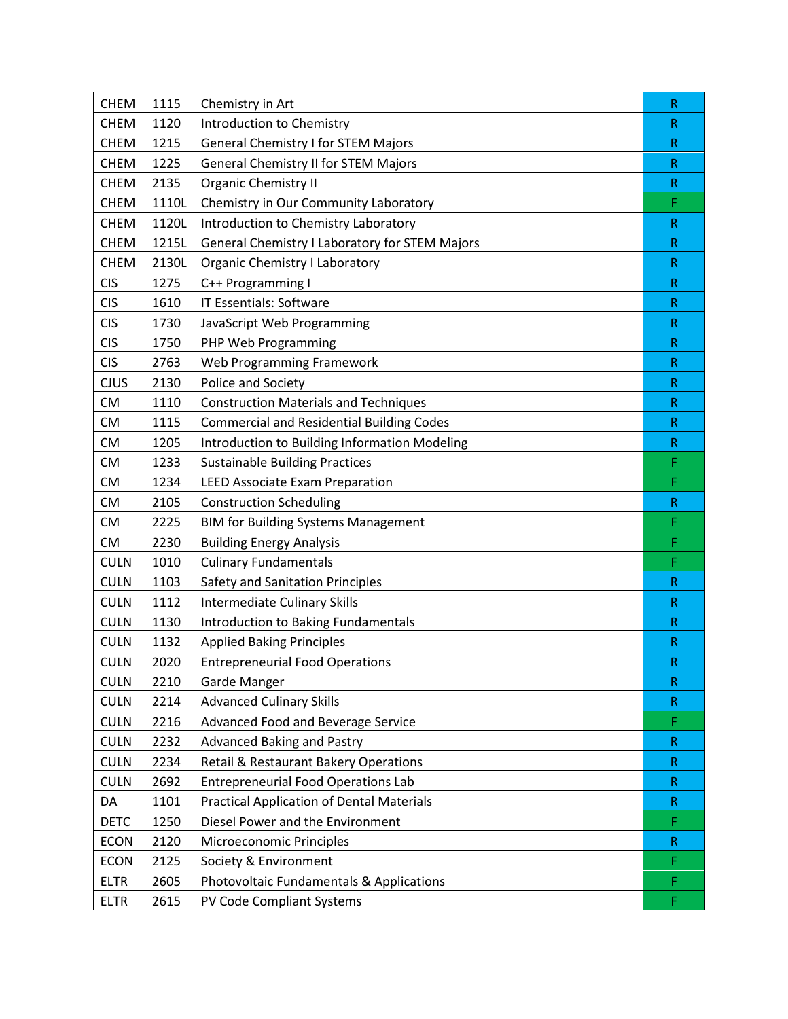| <b>CHEM</b> | 1115  | Chemistry in Art                                 | $\mathsf R$  |
|-------------|-------|--------------------------------------------------|--------------|
| <b>CHEM</b> | 1120  | Introduction to Chemistry                        | $\mathsf{R}$ |
| <b>CHEM</b> | 1215  | <b>General Chemistry I for STEM Majors</b>       | R            |
| <b>CHEM</b> | 1225  | <b>General Chemistry II for STEM Majors</b>      | R            |
| <b>CHEM</b> | 2135  | <b>Organic Chemistry II</b>                      | ${\sf R}$    |
| <b>CHEM</b> | 1110L | Chemistry in Our Community Laboratory            | F            |
| <b>CHEM</b> | 1120L | Introduction to Chemistry Laboratory             | $\mathsf R$  |
| <b>CHEM</b> | 1215L | General Chemistry I Laboratory for STEM Majors   | $\mathsf R$  |
| <b>CHEM</b> | 2130L | <b>Organic Chemistry I Laboratory</b>            | R            |
| <b>CIS</b>  | 1275  | C++ Programming I                                | $\mathsf R$  |
| <b>CIS</b>  | 1610  | <b>IT Essentials: Software</b>                   | R            |
| <b>CIS</b>  | 1730  | JavaScript Web Programming                       | R            |
| <b>CIS</b>  | 1750  | PHP Web Programming                              | R            |
| <b>CIS</b>  | 2763  | Web Programming Framework                        | R            |
| <b>CJUS</b> | 2130  | Police and Society                               | $\mathsf R$  |
| <b>CM</b>   | 1110  | <b>Construction Materials and Techniques</b>     | ${\sf R}$    |
| <b>CM</b>   | 1115  | <b>Commercial and Residential Building Codes</b> | R            |
| <b>CM</b>   | 1205  | Introduction to Building Information Modeling    | R            |
| <b>CM</b>   | 1233  | <b>Sustainable Building Practices</b>            | F            |
| <b>CM</b>   | 1234  | <b>LEED Associate Exam Preparation</b>           | F            |
| <b>CM</b>   | 2105  | <b>Construction Scheduling</b>                   | ${\sf R}$    |
| <b>CM</b>   | 2225  | <b>BIM for Building Systems Management</b>       | F            |
| <b>CM</b>   | 2230  | <b>Building Energy Analysis</b>                  | F            |
| <b>CULN</b> | 1010  | <b>Culinary Fundamentals</b>                     | F            |
| <b>CULN</b> | 1103  | Safety and Sanitation Principles                 | ${\sf R}$    |
| <b>CULN</b> | 1112  | <b>Intermediate Culinary Skills</b>              | $\mathsf R$  |
| <b>CULN</b> | 1130  | <b>Introduction to Baking Fundamentals</b>       | $\mathsf R$  |
| <b>CULN</b> | 1132  | <b>Applied Baking Principles</b>                 | R            |
| <b>CULN</b> | 2020  | <b>Entrepreneurial Food Operations</b>           | ${\sf R}$    |
| <b>CULN</b> | 2210  | Garde Manger                                     | R            |
| <b>CULN</b> | 2214  | <b>Advanced Culinary Skills</b>                  | R.           |
| <b>CULN</b> | 2216  | Advanced Food and Beverage Service               | F            |
| <b>CULN</b> | 2232  | <b>Advanced Baking and Pastry</b>                | R            |
| <b>CULN</b> | 2234  | Retail & Restaurant Bakery Operations            | ${\sf R}$    |
| <b>CULN</b> | 2692  | <b>Entrepreneurial Food Operations Lab</b>       | R            |
| DA          | 1101  | <b>Practical Application of Dental Materials</b> | R            |
| <b>DETC</b> | 1250  | Diesel Power and the Environment                 | F            |
| <b>ECON</b> | 2120  | Microeconomic Principles                         | ${\sf R}$    |
| <b>ECON</b> | 2125  | Society & Environment                            | F            |
| <b>ELTR</b> | 2605  | Photovoltaic Fundamentals & Applications         | F            |
| <b>ELTR</b> | 2615  | PV Code Compliant Systems                        | F            |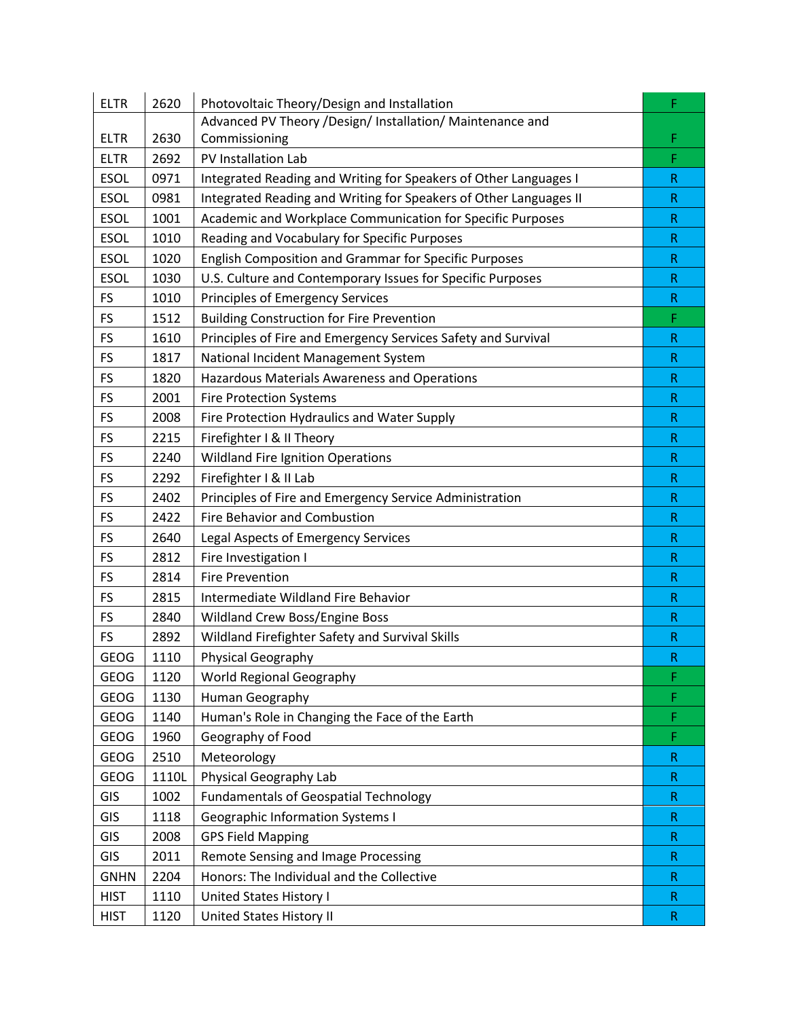| <b>ELTR</b> | 2620  | Photovoltaic Theory/Design and Installation                       | F            |
|-------------|-------|-------------------------------------------------------------------|--------------|
|             |       | Advanced PV Theory /Design/ Installation/ Maintenance and         |              |
| <b>ELTR</b> | 2630  | Commissioning                                                     | F            |
| <b>ELTR</b> | 2692  | PV Installation Lab                                               | F            |
| <b>ESOL</b> | 0971  | Integrated Reading and Writing for Speakers of Other Languages I  | $\mathsf R$  |
| <b>ESOL</b> | 0981  | Integrated Reading and Writing for Speakers of Other Languages II | $\mathsf R$  |
| <b>ESOL</b> | 1001  | Academic and Workplace Communication for Specific Purposes        | $\mathsf R$  |
| <b>ESOL</b> | 1010  | Reading and Vocabulary for Specific Purposes                      | $\mathsf{R}$ |
| <b>ESOL</b> | 1020  | English Composition and Grammar for Specific Purposes             | $\mathsf R$  |
| <b>ESOL</b> | 1030  | U.S. Culture and Contemporary Issues for Specific Purposes        | $\mathsf R$  |
| <b>FS</b>   | 1010  | <b>Principles of Emergency Services</b>                           | $\mathsf R$  |
| <b>FS</b>   | 1512  | <b>Building Construction for Fire Prevention</b>                  | F            |
| <b>FS</b>   | 1610  | Principles of Fire and Emergency Services Safety and Survival     | $\mathsf R$  |
| <b>FS</b>   | 1817  | National Incident Management System                               | $\mathsf R$  |
| <b>FS</b>   | 1820  | Hazardous Materials Awareness and Operations                      | $\mathsf R$  |
| <b>FS</b>   | 2001  | <b>Fire Protection Systems</b>                                    | $\mathsf R$  |
| <b>FS</b>   | 2008  | Fire Protection Hydraulics and Water Supply                       | $\mathsf R$  |
| FS          | 2215  | Firefighter I & II Theory                                         | $\mathsf{R}$ |
| <b>FS</b>   | 2240  | <b>Wildland Fire Ignition Operations</b>                          | R            |
| <b>FS</b>   | 2292  | Firefighter I & II Lab                                            | $\mathsf{R}$ |
| <b>FS</b>   | 2402  | Principles of Fire and Emergency Service Administration           | $\mathsf R$  |
| <b>FS</b>   | 2422  | <b>Fire Behavior and Combustion</b>                               | $\mathsf R$  |
| FS          | 2640  | Legal Aspects of Emergency Services                               | $\mathsf R$  |
| <b>FS</b>   | 2812  | Fire Investigation I                                              | $\mathsf R$  |
| <b>FS</b>   | 2814  | <b>Fire Prevention</b>                                            | $\mathsf R$  |
| <b>FS</b>   | 2815  | Intermediate Wildland Fire Behavior                               | $\mathsf{R}$ |
| <b>FS</b>   | 2840  | Wildland Crew Boss/Engine Boss                                    | $\mathsf{R}$ |
| FS          | 2892  | Wildland Firefighter Safety and Survival Skills                   | $\mathsf R$  |
| <b>GEOG</b> | 1110  | Physical Geography                                                | R            |
| <b>GEOG</b> | 1120  | <b>World Regional Geography</b>                                   | F            |
| <b>GEOG</b> | 1130  | Human Geography                                                   | F            |
| GEOG        | 1140  | Human's Role in Changing the Face of the Earth                    | F            |
| <b>GEOG</b> | 1960  | Geography of Food                                                 | F            |
| <b>GEOG</b> | 2510  | Meteorology                                                       | ${\sf R}$    |
| <b>GEOG</b> | 1110L | Physical Geography Lab                                            | $\mathsf R$  |
| GIS         | 1002  | <b>Fundamentals of Geospatial Technology</b>                      | R            |
| GIS         | 1118  | <b>Geographic Information Systems I</b>                           | $\mathsf R$  |
| GIS         | 2008  | <b>GPS Field Mapping</b>                                          | R            |
| GIS         | 2011  | Remote Sensing and Image Processing                               | $\mathsf R$  |
| <b>GNHN</b> | 2204  | Honors: The Individual and the Collective                         | ${\sf R}$    |
| <b>HIST</b> | 1110  | United States History I                                           | R            |
| <b>HIST</b> | 1120  | United States History II                                          | ${\sf R}$    |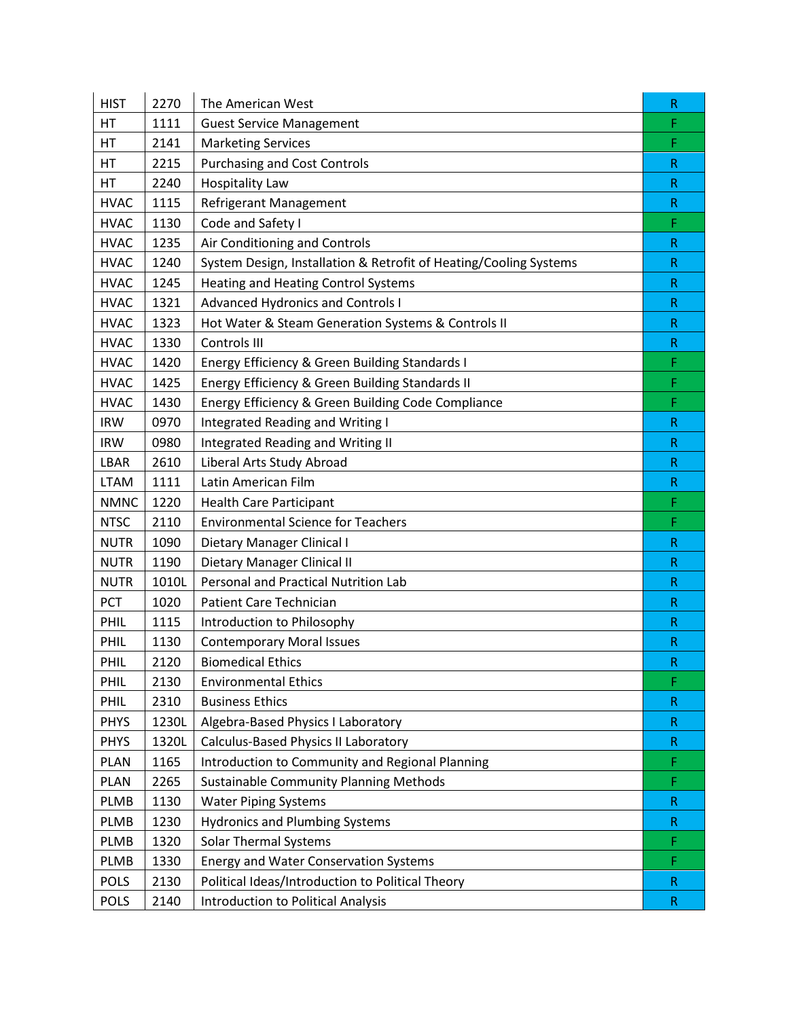| <b>HIST</b> | 2270  | The American West                                                 | R            |
|-------------|-------|-------------------------------------------------------------------|--------------|
| HT          | 1111  | <b>Guest Service Management</b>                                   | F            |
| HT          | 2141  | <b>Marketing Services</b>                                         | F            |
| HT          | 2215  | <b>Purchasing and Cost Controls</b>                               | R            |
| HT          | 2240  | <b>Hospitality Law</b>                                            | $\mathsf R$  |
| <b>HVAC</b> | 1115  | <b>Refrigerant Management</b>                                     | R            |
| <b>HVAC</b> | 1130  | Code and Safety I                                                 | F            |
| <b>HVAC</b> | 1235  | Air Conditioning and Controls                                     | $\mathsf R$  |
| <b>HVAC</b> | 1240  | System Design, Installation & Retrofit of Heating/Cooling Systems | $\mathsf R$  |
| <b>HVAC</b> | 1245  | <b>Heating and Heating Control Systems</b>                        | $\mathsf R$  |
| <b>HVAC</b> | 1321  | <b>Advanced Hydronics and Controls I</b>                          | R.           |
| <b>HVAC</b> | 1323  | Hot Water & Steam Generation Systems & Controls II                | $\mathsf R$  |
| <b>HVAC</b> | 1330  | Controls III                                                      | R            |
| <b>HVAC</b> | 1420  | Energy Efficiency & Green Building Standards I                    | F            |
| <b>HVAC</b> | 1425  | Energy Efficiency & Green Building Standards II                   | F            |
| <b>HVAC</b> | 1430  | Energy Efficiency & Green Building Code Compliance                | F            |
| <b>IRW</b>  | 0970  | <b>Integrated Reading and Writing I</b>                           | $\mathsf R$  |
| <b>IRW</b>  | 0980  | Integrated Reading and Writing II                                 | R            |
| LBAR        | 2610  | Liberal Arts Study Abroad                                         | $\mathsf R$  |
| <b>LTAM</b> | 1111  | Latin American Film                                               | $\mathsf{R}$ |
| <b>NMNC</b> | 1220  | <b>Health Care Participant</b>                                    | F            |
| <b>NTSC</b> | 2110  | <b>Environmental Science for Teachers</b>                         | F            |
| <b>NUTR</b> | 1090  | Dietary Manager Clinical I                                        | $\mathsf R$  |
| <b>NUTR</b> | 1190  | Dietary Manager Clinical II                                       | $\mathsf R$  |
| <b>NUTR</b> | 1010L | Personal and Practical Nutrition Lab                              | R            |
| PCT         | 1020  | <b>Patient Care Technician</b>                                    | $\mathsf{R}$ |
| PHIL        | 1115  | Introduction to Philosophy                                        | $\mathsf{R}$ |
| PHIL        | 1130  | <b>Contemporary Moral Issues</b>                                  | R            |
| PHIL        | 2120  | <b>Biomedical Ethics</b>                                          | $\mathsf R$  |
| PHIL        | 2130  | <b>Environmental Ethics</b>                                       | F            |
| PHIL        | 2310  | <b>Business Ethics</b>                                            | $\mathsf R$  |
| <b>PHYS</b> | 1230L | Algebra-Based Physics I Laboratory                                | $\mathsf{R}$ |
| <b>PHYS</b> | 1320L | Calculus-Based Physics II Laboratory                              | $\mathsf{R}$ |
| <b>PLAN</b> | 1165  | Introduction to Community and Regional Planning                   | F            |
| <b>PLAN</b> | 2265  | <b>Sustainable Community Planning Methods</b>                     | F            |
| <b>PLMB</b> | 1130  | <b>Water Piping Systems</b>                                       | $\mathsf R$  |
| <b>PLMB</b> | 1230  | <b>Hydronics and Plumbing Systems</b>                             | R.           |
| PLMB        | 1320  | <b>Solar Thermal Systems</b>                                      | F            |
| <b>PLMB</b> | 1330  | <b>Energy and Water Conservation Systems</b>                      | F            |
| <b>POLS</b> | 2130  | Political Ideas/Introduction to Political Theory                  | $\mathsf{R}$ |
| <b>POLS</b> | 2140  | <b>Introduction to Political Analysis</b>                         | $\mathsf R$  |